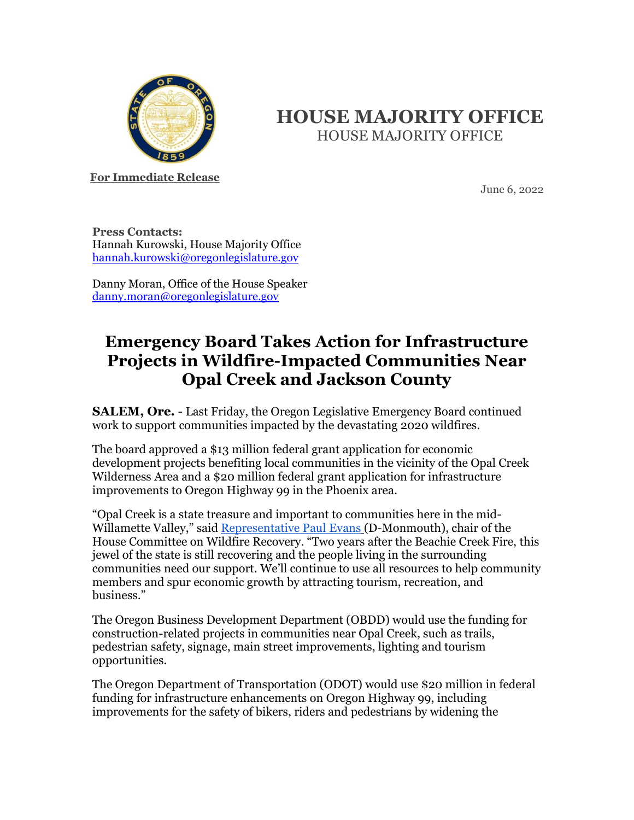

## **HOUSE MAJORITY OFFICE** HOUSE MAJORITY OFFICE

**For Immediate Release**

June 6, 2022

**Press Contacts:** Hannah Kurowski, House Majority Office [hannah.kurowski@oregonlegislature.gov](mailto:hannah.kurowski@oregonlegislature.gov)

Danny Moran, Office of the House Speaker [danny.moran@oregonlegislature.gov](mailto:danny.moran@oregonlegislature.gov)

## **Emergency Board Takes Action for Infrastructure Projects in Wildfire-Impacted Communities Near Opal Creek and Jackson County**

**SALEM, Ore.** - Last Friday, the Oregon Legislative Emergency Board continued work to support communities impacted by the devastating 2020 wildfires.

The board approved a \$13 million federal grant application for economic development projects benefiting local communities in the vicinity of the Opal Creek Wilderness Area and a \$20 million federal grant application for infrastructure improvements to Oregon Highway 99 in the Phoenix area.

"Opal Creek is a state treasure and important to communities here in the mid-Willamette Valley," said [Representative Paul Evans](https://www.oregonlegislature.gov/evans) (D-Monmouth), chair of the House Committee on Wildfire Recovery. "Two years after the Beachie Creek Fire, this jewel of the state is still recovering and the people living in the surrounding communities need our support. We'll continue to use all resources to help community members and spur economic growth by attracting tourism, recreation, and business."

The Oregon Business Development Department (OBDD) would use the funding for construction-related projects in communities near Opal Creek, such as trails, pedestrian safety, signage, main street improvements, lighting and tourism opportunities.

The Oregon Department of Transportation (ODOT) would use \$20 million in federal funding for infrastructure enhancements on Oregon Highway 99, including improvements for the safety of bikers, riders and pedestrians by widening the